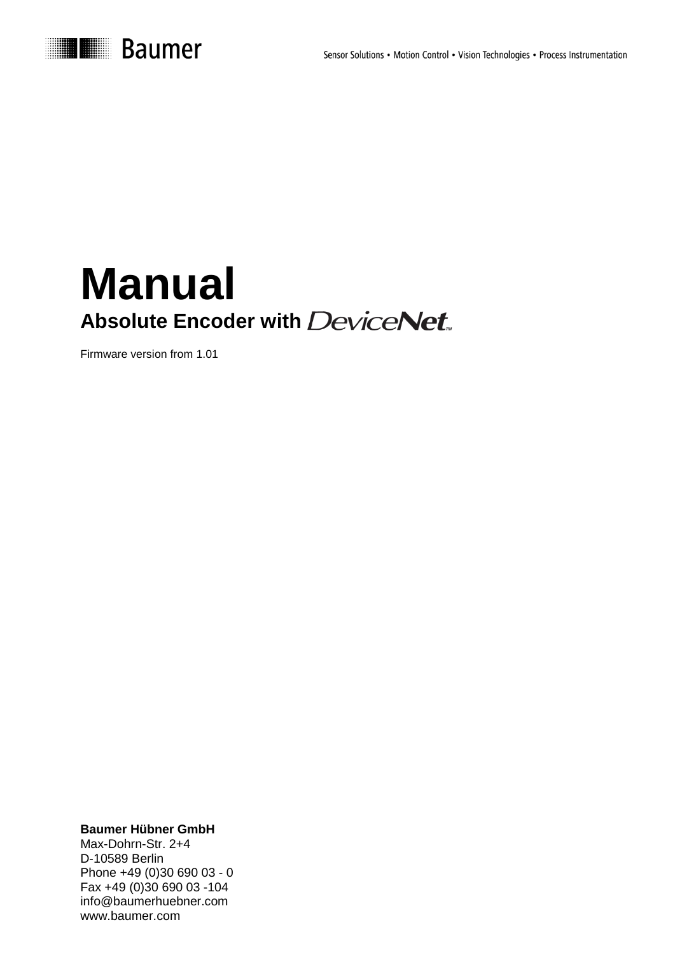

# **Manual Absolute Encoder with DeviceNet**

Firmware version from 1.01

**Baumer Hübner GmbH**

Max-Dohrn-Str. 2+4 D-10589 Berlin Phone +49 (0)30 690 03 - 0 Fax +49 (0)30 690 03 -104 info@baumerhuebner.com www.baumer.com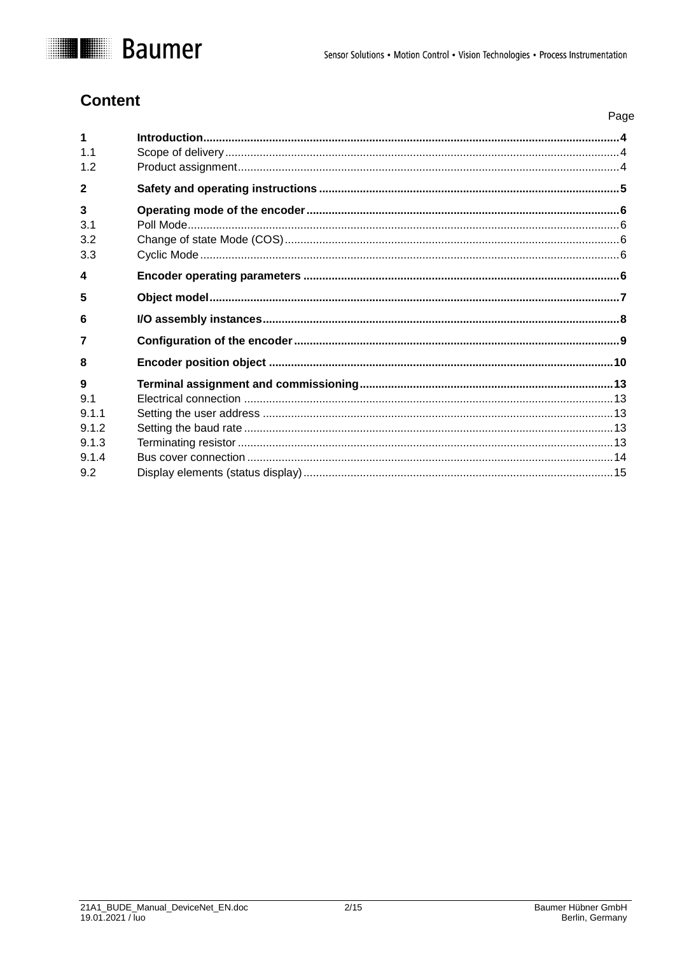

### **Content**

|                  | Page |
|------------------|------|
| 1                |      |
| 11               |      |
| 12               |      |
| $\overline{2}$   |      |
| 3                |      |
| 3.1              |      |
| 3.2              |      |
| 3.3              |      |
| $\blacktriangle$ |      |
| 5                |      |
| 6                |      |
| 7                |      |
| 8                |      |
| 9                |      |
| 9.1              |      |
| 9.1.1            |      |
| 9.1.2            |      |
| 9.1.3            |      |
| 9.1.4            |      |
| 9.2              |      |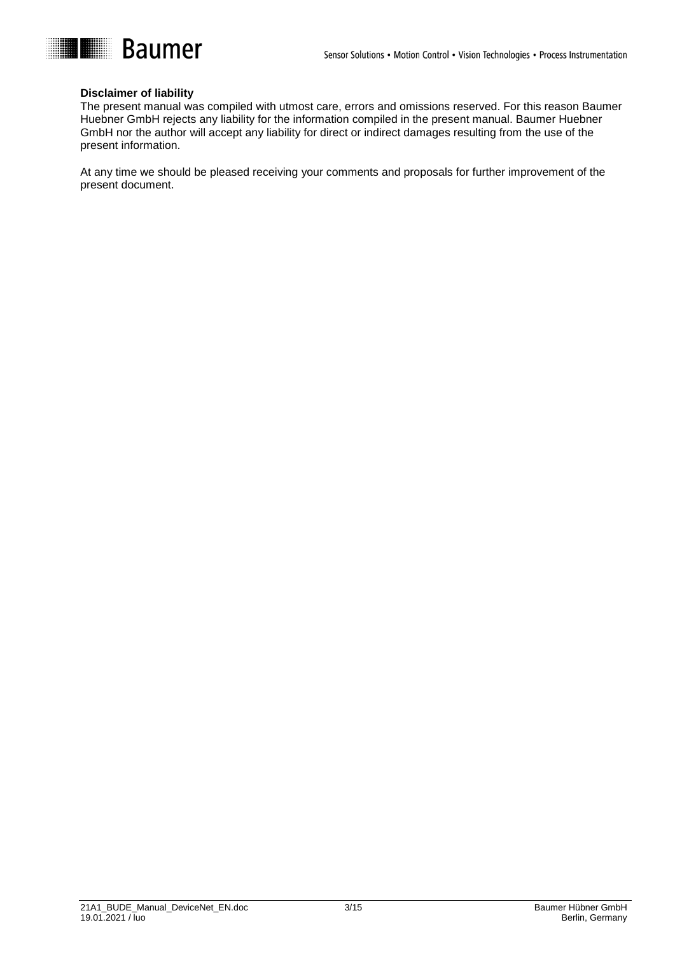

#### **Disclaimer of liability**

The present manual was compiled with utmost care, errors and omissions reserved. For this reason Baumer Huebner GmbH rejects any liability for the information compiled in the present manual. Baumer Huebner GmbH nor the author will accept any liability for direct or indirect damages resulting from the use of the present information.

At any time we should be pleased receiving your comments and proposals for further improvement of the present document.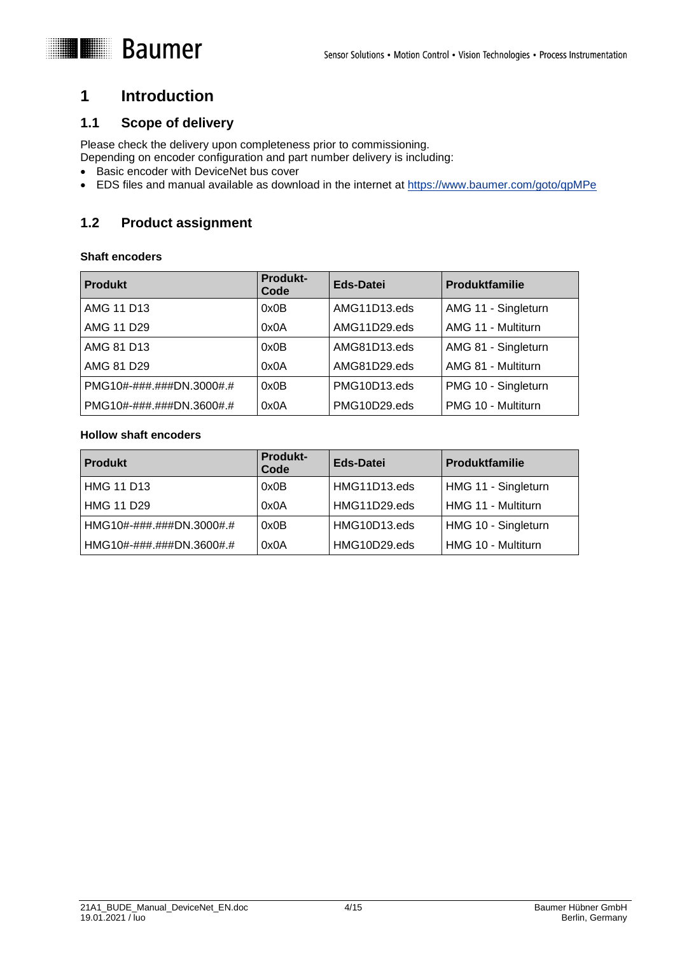## <span id="page-3-0"></span>**1 Introduction**

### <span id="page-3-1"></span>**1.1 Scope of delivery**

Please check the delivery upon completeness prior to commissioning.

Depending on encoder configuration and part number delivery is including:

- Basic encoder with DeviceNet bus cover
- EDS files and manual available as download in the internet at <https://www.baumer.com/goto/qpMPe>

### <span id="page-3-2"></span>**1.2 Product assignment**

### **Shaft encoders**

| <b>Produkt</b>                                 | <b>Produkt-</b><br>Code | Eds-Datei    | <b>Produktfamilie</b> |
|------------------------------------------------|-------------------------|--------------|-----------------------|
| AMG 11 D13                                     | 0x0B                    | AMG11D13.eds | AMG 11 - Singleturn   |
| AMG 11 D29                                     | 0x0A                    | AMG11D29.eds | AMG 11 - Multiturn    |
| AMG 81 D13                                     | 0x0B                    | AMG81D13.eds | AMG 81 - Singleturn   |
| AMG 81 D29                                     | 0x0A                    | AMG81D29.eds | AMG 81 - Multiturn    |
| $PMG10\# - \# \# \# \# \# \text{DN}.3000\# \#$ | 0x0B                    | PMG10D13.eds | PMG 10 - Singleturn   |
| PMG10#-###.###DN.3600#.#                       | 0x0A                    | PMG10D29.eds | PMG 10 - Multiturn    |

### **Hollow shaft encoders**

| <b>Produkt</b>           | <b>Produkt-</b><br>Code | Eds-Datei    | <b>Produktfamilie</b> |
|--------------------------|-------------------------|--------------|-----------------------|
| <b>HMG 11 D13</b>        | 0x0B                    | HMG11D13.eds | HMG 11 - Singleturn   |
| <b>HMG 11 D29</b>        | 0x0A                    | HMG11D29.eds | HMG 11 - Multiturn    |
| HMG10#-###.###DN.3000#.# | 0x0B                    | HMG10D13.eds | HMG 10 - Singleturn   |
| HMG10#-###.###DN.3600#.# | 0x0A                    | HMG10D29.eds | HMG 10 - Multiturn    |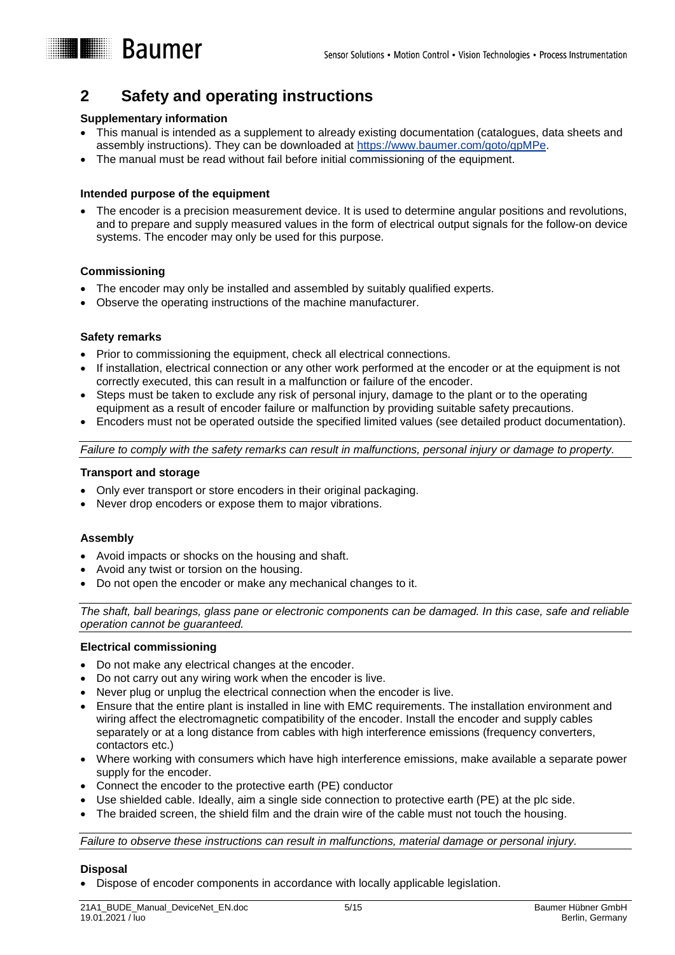<span id="page-4-0"></span>

### **Supplementary information**

**Baumer** 

- This manual is intended as a supplement to already existing documentation (catalogues, data sheets and assembly instructions). They can be downloaded at [https://www.baumer.com/goto/qpMPe.](https://www.baumer.com/goto/qpMPe)
- The manual must be read without fail before initial commissioning of the equipment.

### **Intended purpose of the equipment**

 The encoder is a precision measurement device. It is used to determine angular positions and revolutions, and to prepare and supply measured values in the form of electrical output signals for the follow-on device systems. The encoder may only be used for this purpose.

### **Commissioning**

- The encoder may only be installed and assembled by suitably qualified experts.
- Observe the operating instructions of the machine manufacturer.

#### **Safety remarks**

- Prior to commissioning the equipment, check all electrical connections.
- If installation, electrical connection or any other work performed at the encoder or at the equipment is not correctly executed, this can result in a malfunction or failure of the encoder.
- Steps must be taken to exclude any risk of personal injury, damage to the plant or to the operating equipment as a result of encoder failure or malfunction by providing suitable safety precautions.
- Encoders must not be operated outside the specified limited values (see detailed product documentation).

*Failure to comply with the safety remarks can result in malfunctions, personal injury or damage to property.*

#### **Transport and storage**

- Only ever transport or store encoders in their original packaging.
- Never drop encoders or expose them to major vibrations.

### **Assembly**

- Avoid impacts or shocks on the housing and shaft.
- Avoid any twist or torsion on the housing.
- Do not open the encoder or make any mechanical changes to it.

*The shaft, ball bearings, glass pane or electronic components can be damaged. In this case, safe and reliable operation cannot be guaranteed.*

### **Electrical commissioning**

- Do not make any electrical changes at the encoder.
- Do not carry out any wiring work when the encoder is live.
- Never plug or unplug the electrical connection when the encoder is live.
- Ensure that the entire plant is installed in line with EMC requirements. The installation environment and wiring affect the electromagnetic compatibility of the encoder. Install the encoder and supply cables separately or at a long distance from cables with high interference emissions (frequency converters, contactors etc.)
- Where working with consumers which have high interference emissions, make available a separate power supply for the encoder.
- Connect the encoder to the protective earth (PE) conductor
- Use shielded cable. Ideally, aim a single side connection to protective earth (PE) at the plc side.
- The braided screen, the shield film and the drain wire of the cable must not touch the housing.

*Failure to observe these instructions can result in malfunctions, material damage or personal injury.*

#### **Disposal**

Dispose of encoder components in accordance with locally applicable legislation.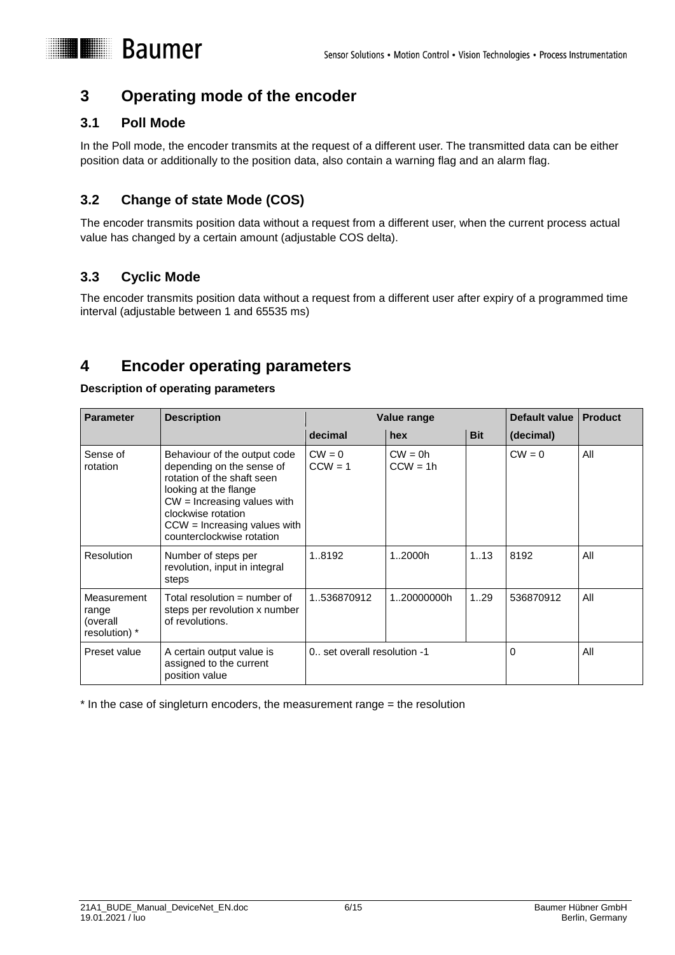

## <span id="page-5-0"></span>**3 Operating mode of the encoder**

### <span id="page-5-1"></span>**3.1 Poll Mode**

In the Poll mode, the encoder transmits at the request of a different user. The transmitted data can be either position data or additionally to the position data, also contain a warning flag and an alarm flag.

### <span id="page-5-2"></span>**3.2 Change of state Mode (COS)**

The encoder transmits position data without a request from a different user, when the current process actual value has changed by a certain amount (adjustable COS delta).

### <span id="page-5-3"></span>**3.3 Cyclic Mode**

The encoder transmits position data without a request from a different user after expiry of a programmed time interval (adjustable between 1 and 65535 ms)

## <span id="page-5-4"></span>**4 Encoder operating parameters**

### **Description of operating parameters**

| <b>Parameter</b>                                  | <b>Description</b>                                                                                                                                                                                                                     | Value range                   |                         |            | Default value | <b>Product</b> |
|---------------------------------------------------|----------------------------------------------------------------------------------------------------------------------------------------------------------------------------------------------------------------------------------------|-------------------------------|-------------------------|------------|---------------|----------------|
|                                                   |                                                                                                                                                                                                                                        | decimal                       | hex                     | <b>Bit</b> | (decimal)     |                |
| Sense of<br>rotation                              | Behaviour of the output code<br>depending on the sense of<br>rotation of the shaft seen<br>looking at the flange<br>$CW =$ Increasing values with<br>clockwise rotation<br>$CCW =$ Increasing values with<br>counterclockwise rotation | $CW = 0$<br>$CCW = 1$         | $CW = 0h$<br>$CCW = 1h$ |            | $CW = 0$      | All            |
| <b>Resolution</b>                                 | Number of steps per<br>revolution, input in integral<br>steps                                                                                                                                                                          | 1.8192                        | 12000h                  | 1.13       | 8192          | All            |
| Measurement<br>range<br>(overall<br>resolution) * | Total resolution = number of<br>steps per revolution x number<br>of revolutions.                                                                                                                                                       | 1.536870912                   | 120000000h              | 1.29       | 536870912     | All            |
| Preset value                                      | A certain output value is<br>assigned to the current<br>position value                                                                                                                                                                 | 0., set overall resolution -1 |                         |            | $\Omega$      | All            |

\* In the case of singleturn encoders, the measurement range = the resolution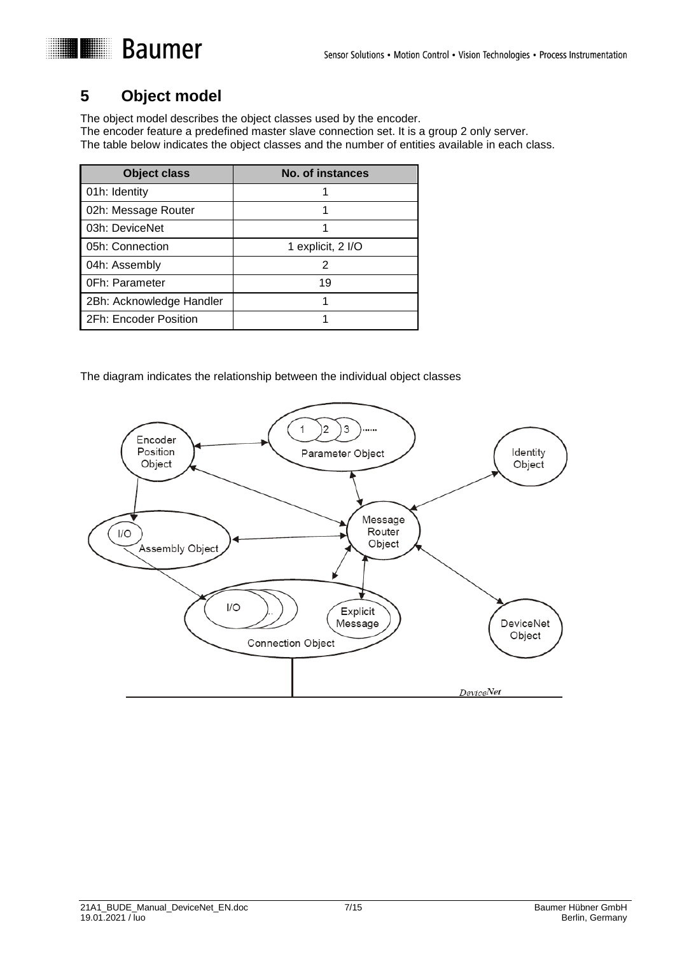# <span id="page-6-0"></span>**5 Object model**

The object model describes the object classes used by the encoder. The encoder feature a predefined master slave connection set. It is a group 2 only server. The table below indicates the object classes and the number of entities available in each class.

| <b>Object class</b>      | No. of instances  |
|--------------------------|-------------------|
| 01h: Identity            |                   |
| 02h: Message Router      |                   |
| 03h: DeviceNet           |                   |
| 05h: Connection          | 1 explicit, 2 I/O |
| 04h: Assembly            | 2                 |
| <b>OFh: Parameter</b>    | 19                |
| 2Bh: Acknowledge Handler |                   |
| 2Fh: Encoder Position    |                   |

The diagram indicates the relationship between the individual object classes

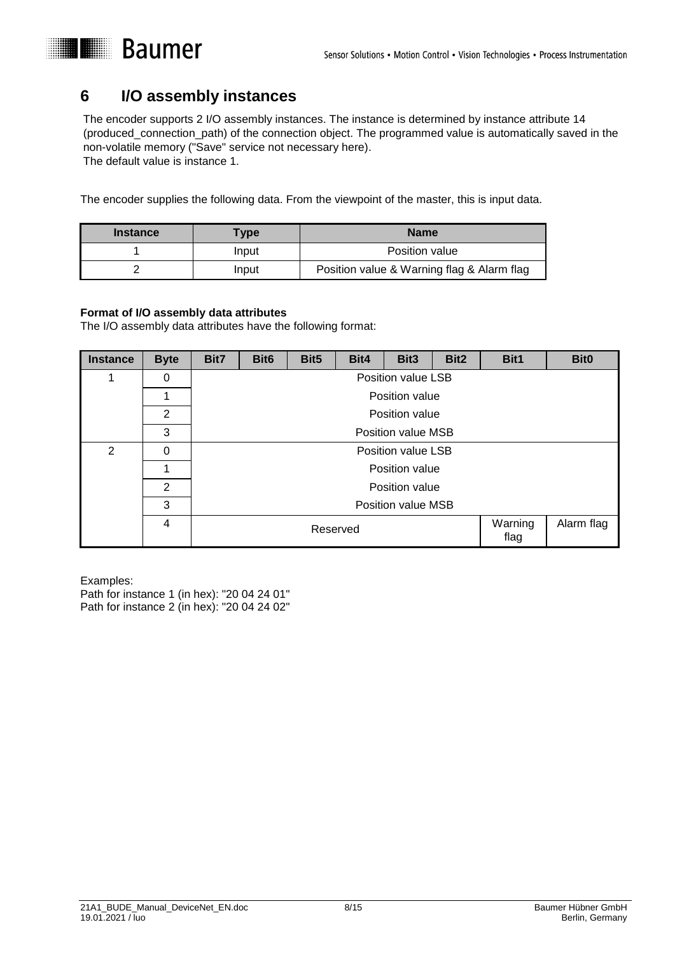

### <span id="page-7-0"></span>**6 I/O assembly instances**

The encoder supports 2 I/O assembly instances. The instance is determined by instance attribute 14 (produced\_connection\_path) of the connection object. The programmed value is automatically saved in the non-volatile memory ("Save" service not necessary here). The default value is instance 1.

**Baumer** 

The encoder supplies the following data. From the viewpoint of the master, this is input data.

| <b>Instance</b> | Type  | <b>Name</b>                                |
|-----------------|-------|--------------------------------------------|
|                 | Input | Position value                             |
|                 | Input | Position value & Warning flag & Alarm flag |

### **Format of I/O assembly data attributes**

The I/O assembly data attributes have the following format:

| <b>Instance</b> | <b>Byte</b> | Bit7                        | Bit <sub>6</sub> | Bit <sub>5</sub> | Bit4 | Bit3               | Bit2 | Bit1 | <b>Bit0</b> |
|-----------------|-------------|-----------------------------|------------------|------------------|------|--------------------|------|------|-------------|
|                 | 0           |                             |                  |                  |      | Position value LSB |      |      |             |
|                 |             |                             | Position value   |                  |      |                    |      |      |             |
|                 | 2           |                             | Position value   |                  |      |                    |      |      |             |
|                 | 3           | <b>Position value MSB</b>   |                  |                  |      |                    |      |      |             |
| $\overline{2}$  | 0           | Position value LSB          |                  |                  |      |                    |      |      |             |
|                 | 1           | Position value              |                  |                  |      |                    |      |      |             |
|                 | 2           | Position value              |                  |                  |      |                    |      |      |             |
|                 | 3           | <b>Position value MSB</b>   |                  |                  |      |                    |      |      |             |
|                 | 4           | Warning<br>Reserved<br>flag |                  |                  |      | Alarm flag         |      |      |             |

Examples: Path for instance 1 (in hex): "20 04 24 01" Path for instance 2 (in hex): "20 04 24 02"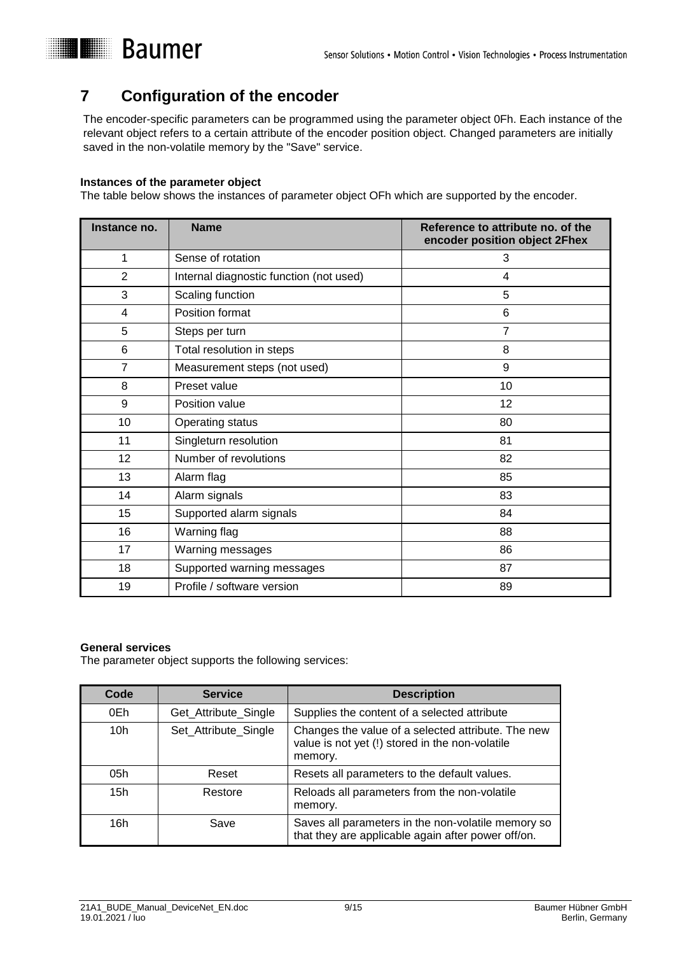# **I** Baumer

# <span id="page-8-0"></span>**7 Configuration of the encoder**

The encoder-specific parameters can be programmed using the parameter object 0Fh. Each instance of the relevant object refers to a certain attribute of the encoder position object. Changed parameters are initially saved in the non-volatile memory by the "Save" service.

### **Instances of the parameter object**

The table below shows the instances of parameter object OFh which are supported by the encoder.

| Instance no.   | <b>Name</b>                             | Reference to attribute no. of the<br>encoder position object 2Fhex |
|----------------|-----------------------------------------|--------------------------------------------------------------------|
| 1              | Sense of rotation                       | 3                                                                  |
| $\overline{2}$ | Internal diagnostic function (not used) | 4                                                                  |
| 3              | Scaling function                        | 5                                                                  |
| 4              | Position format                         | $\,6$                                                              |
| 5              | Steps per turn                          | $\overline{7}$                                                     |
| 6              | Total resolution in steps               | 8                                                                  |
| $\overline{7}$ | Measurement steps (not used)            | 9                                                                  |
| 8              | Preset value                            | 10                                                                 |
| 9              | Position value                          | 12                                                                 |
| 10             | Operating status                        | 80                                                                 |
| 11             | Singleturn resolution                   | 81                                                                 |
| 12             | Number of revolutions                   | 82                                                                 |
| 13             | Alarm flag                              | 85                                                                 |
| 14             | Alarm signals                           | 83                                                                 |
| 15             | Supported alarm signals                 | 84                                                                 |
| 16             | Warning flag                            | 88                                                                 |
| 17             | Warning messages                        | 86                                                                 |
| 18             | Supported warning messages              | 87                                                                 |
| 19             | Profile / software version              | 89                                                                 |

### **General services**

The parameter object supports the following services:

| Code            | <b>Service</b>       | <b>Description</b>                                                                                               |
|-----------------|----------------------|------------------------------------------------------------------------------------------------------------------|
| 0Eh             | Get_Attribute_Single | Supplies the content of a selected attribute                                                                     |
| 10 <sub>h</sub> | Set_Attribute_Single | Changes the value of a selected attribute. The new<br>value is not yet (!) stored in the non-volatile<br>memory. |
| 05h             | Reset                | Resets all parameters to the default values.                                                                     |
| 15h             | Restore              | Reloads all parameters from the non-volatile<br>memory.                                                          |
| 16h             | Save                 | Saves all parameters in the non-volatile memory so<br>that they are applicable again after power off/on.         |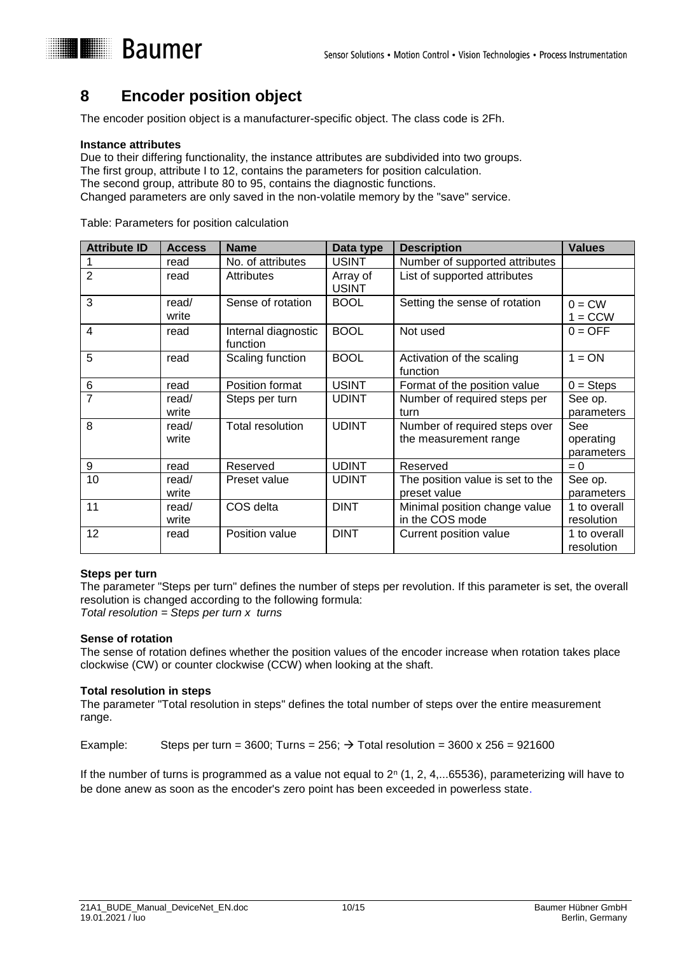## <span id="page-9-0"></span>**8 Encoder position object**

The encoder position object is a manufacturer-specific object. The class code is 2Fh.

### **Instance attributes**

Due to their differing functionality, the instance attributes are subdivided into two groups. The first group, attribute I to 12, contains the parameters for position calculation. The second group, attribute 80 to 95, contains the diagnostic functions. Changed parameters are only saved in the non-volatile memory by the "save" service.

| <b>Attribute ID</b> | <b>Access</b>  | <b>Name</b>                     | Data type                | <b>Description</b>                    | <b>Values</b>         |
|---------------------|----------------|---------------------------------|--------------------------|---------------------------------------|-----------------------|
|                     | read           | No. of attributes               | <b>USINT</b>             | Number of supported attributes        |                       |
| $\overline{2}$      | read           | <b>Attributes</b>               | Array of<br><b>USINT</b> | List of supported attributes          |                       |
| 3                   | read/<br>write | Sense of rotation               | <b>BOOL</b>              | Setting the sense of rotation         | $0 = CW$<br>$1 = CCW$ |
| 4                   | read           | Internal diagnostic<br>function | <b>BOOL</b>              | Not used                              | $0 = OFF$             |
| 5                   | read           | Scaling function                | <b>BOOL</b>              | Activation of the scaling<br>function | $1 = ON$              |
| 6                   | read           | Position format                 | <b>USINT</b>             | Format of the position value          | $0 =$ Steps           |
| $\overline{7}$      | read/          | Steps per turn                  | <b>UDINT</b>             | Number of required steps per          | See op.               |
|                     | write          |                                 |                          | turn                                  | parameters            |
| 8                   | read/          | <b>Total resolution</b>         | <b>UDINT</b>             | Number of required steps over         | See                   |
|                     | write          |                                 |                          | the measurement range                 | operating             |
|                     |                |                                 |                          |                                       | parameters            |
| 9                   | read           | Reserved                        | <b>UDINT</b>             | Reserved                              | $= 0$                 |
| 10                  | read/          | Preset value                    | <b>UDINT</b>             | The position value is set to the      | See op.               |
|                     | write          |                                 |                          | preset value                          | parameters            |
| 11                  | read/          | COS delta                       | <b>DINT</b>              | Minimal position change value         | 1 to overall          |
|                     | write          |                                 |                          | in the COS mode                       | resolution            |
| 12                  | read           | Position value                  | <b>DINT</b>              | Current position value                | 1 to overall          |
|                     |                |                                 |                          |                                       | resolution            |

Table: Parameters for position calculation

### **Steps per turn**

The parameter "Steps per turn" defines the number of steps per revolution. If this parameter is set, the overall resolution is changed according to the following formula: *Total resolution = Steps per turn x turns*

### **Sense of rotation**

The sense of rotation defines whether the position values of the encoder increase when rotation takes place clockwise (CW) or counter clockwise (CCW) when looking at the shaft.

### **Total resolution in steps**

The parameter "Total resolution in steps" defines the total number of steps over the entire measurement range.

Example: Steps per turn = 3600; Turns =  $256$ ;  $\rightarrow$  Total resolution = 3600 x 256 = 921600

If the number of turns is programmed as a value not equal to  $2^n$  (1, 2, 4,...65536), parameterizing will have to be done anew as soon as the encoder's zero point has been exceeded in powerless state.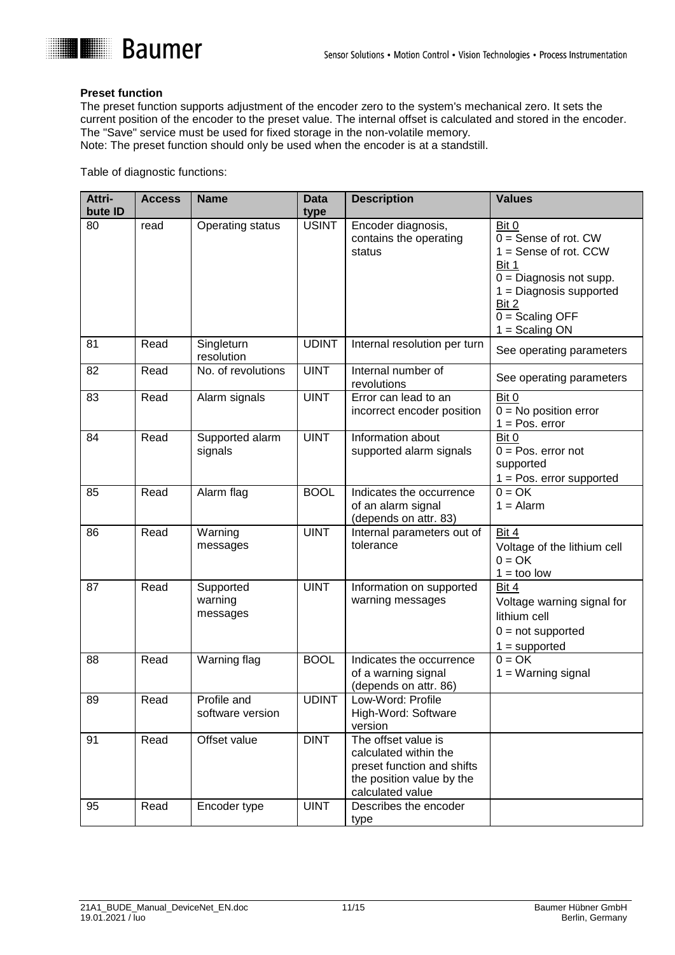

### **Preset function**

The preset function supports adjustment of the encoder zero to the system's mechanical zero. It sets the current position of the encoder to the preset value. The internal offset is calculated and stored in the encoder. The "Save" service must be used for fixed storage in the non-volatile memory.

Note: The preset function should only be used when the encoder is at a standstill.

Table of diagnostic functions:

| Attri-<br>bute <b>ID</b> | <b>Access</b> | <b>Name</b>                      | <b>Data</b><br>type | <b>Description</b>                                                                                                          | <b>Values</b>                                                                                                                                                                   |
|--------------------------|---------------|----------------------------------|---------------------|-----------------------------------------------------------------------------------------------------------------------------|---------------------------------------------------------------------------------------------------------------------------------------------------------------------------------|
| 80                       | read          | <b>Operating status</b>          | <b>USINT</b>        | Encoder diagnosis,<br>contains the operating<br>status                                                                      | Bit 0<br>$0 =$ Sense of rot. CW<br>$1 =$ Sense of rot. CCW<br>Bit 1<br>$0 =$ Diagnosis not supp.<br>$1 =$ Diagnosis supported<br>Bit 2<br>$0 =$ Scaling OFF<br>$1 =$ Scaling ON |
| 81                       | Read          | Singleturn<br>resolution         | <b>UDINT</b>        | Internal resolution per turn                                                                                                | See operating parameters                                                                                                                                                        |
| 82                       | Read          | No. of revolutions               | <b>UINT</b>         | Internal number of<br>revolutions                                                                                           | See operating parameters                                                                                                                                                        |
| 83                       | Read          | Alarm signals                    | <b>UINT</b>         | Error can lead to an<br>incorrect encoder position                                                                          | Bit 0<br>$0 = No$ position error<br>$1 = Pos. error$                                                                                                                            |
| 84                       | Read          | Supported alarm<br>signals       | <b>UINT</b>         | Information about<br>supported alarm signals                                                                                | Bit 0<br>$0 = Pos.$ error not<br>supported<br>$1 = Pos.$ error supported                                                                                                        |
| 85                       | Read          | Alarm flag                       | <b>BOOL</b>         | Indicates the occurrence<br>of an alarm signal<br>(depends on attr. 83)                                                     | $0 = OK$<br>$1 =$ Alarm                                                                                                                                                         |
| 86                       | Read          | Warning<br>messages              | <b>UINT</b>         | Internal parameters out of<br>tolerance                                                                                     | Bit 4<br>Voltage of the lithium cell<br>$0 = OK$<br>$1 = \text{too}$ low                                                                                                        |
| 87                       | Read          | Supported<br>warning<br>messages | <b>UINT</b>         | Information on supported<br>warning messages                                                                                | <b>Bit 4</b><br>Voltage warning signal for<br>lithium cell<br>$0 = not supported$<br>$1 =$ supported                                                                            |
| 88                       | Read          | Warning flag                     | <b>BOOL</b>         | Indicates the occurrence<br>of a warning signal<br>(depends on attr. 86)                                                    | $0 = OK$<br>$1 = Warning signal$                                                                                                                                                |
| 89                       | Read          | Profile and<br>software version  | <b>UDINT</b>        | Low-Word: Profile<br>High-Word: Software<br>version                                                                         |                                                                                                                                                                                 |
| 91                       | Read          | Offset value                     | <b>DINT</b>         | The offset value is<br>calculated within the<br>preset function and shifts<br>the position value by the<br>calculated value |                                                                                                                                                                                 |
| 95                       | Read          | Encoder type                     | <b>UINT</b>         | Describes the encoder<br>type                                                                                               |                                                                                                                                                                                 |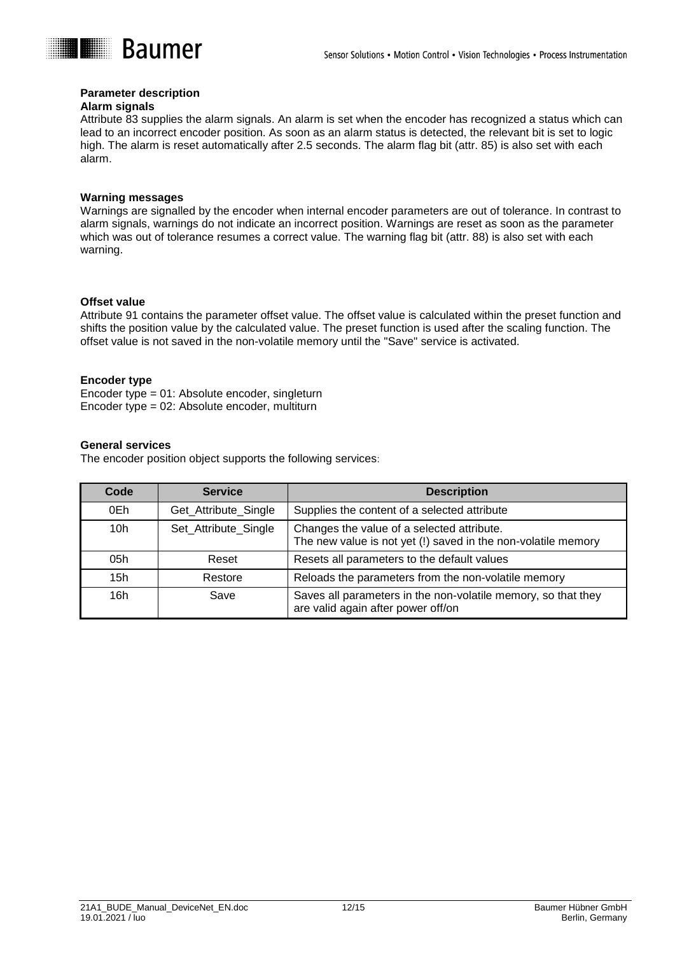

### **Parameter description**

### **Alarm signals**

Attribute 83 supplies the alarm signals. An alarm is set when the encoder has recognized a status which can lead to an incorrect encoder position. As soon as an alarm status is detected, the relevant bit is set to logic high. The alarm is reset automatically after 2.5 seconds. The alarm flag bit (attr. 85) is also set with each alarm.

#### **Warning messages**

Warnings are signalled by the encoder when internal encoder parameters are out of tolerance. In contrast to alarm signals, warnings do not indicate an incorrect position. Warnings are reset as soon as the parameter which was out of tolerance resumes a correct value. The warning flag bit (attr. 88) is also set with each warning.

#### **Offset value**

Attribute 91 contains the parameter offset value. The offset value is calculated within the preset function and shifts the position value by the calculated value. The preset function is used after the scaling function. The offset value is not saved in the non-volatile memory until the "Save" service is activated.

#### **Encoder type**

Encoder type = 01: Absolute encoder, singleturn Encoder type = 02: Absolute encoder, multiturn

#### **General services**

The encoder position object supports the following services:

| Code            | <b>Service</b>       | <b>Description</b>                                                                                          |
|-----------------|----------------------|-------------------------------------------------------------------------------------------------------------|
| 0Eh             | Get_Attribute_Single | Supplies the content of a selected attribute                                                                |
| 10 <sub>h</sub> | Set_Attribute_Single | Changes the value of a selected attribute.<br>The new value is not yet (!) saved in the non-volatile memory |
| 05h             | Reset                | Resets all parameters to the default values                                                                 |
| 15h             | Restore              | Reloads the parameters from the non-volatile memory                                                         |
| 16h             | Save                 | Saves all parameters in the non-volatile memory, so that they<br>are valid again after power off/on         |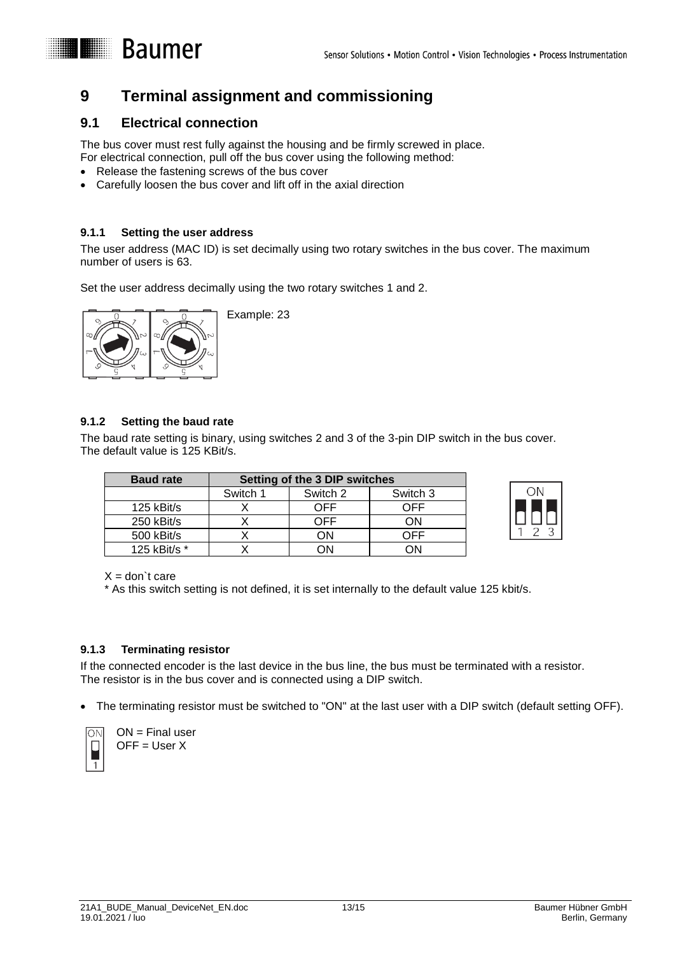## <span id="page-12-0"></span>**9 Terminal assignment and commissioning**

### <span id="page-12-1"></span>**9.1 Electrical connection**

**E Baumer** 

The bus cover must rest fully against the housing and be firmly screwed in place.

- For electrical connection, pull off the bus cover using the following method:
- Release the fastening screws of the bus cover
- Carefully loosen the bus cover and lift off in the axial direction

### <span id="page-12-2"></span>**9.1.1 Setting the user address**

The user address (MAC ID) is set decimally using two rotary switches in the bus cover. The maximum number of users is 63.

Set the user address decimally using the two rotary switches 1 and 2.



Example: 23

### <span id="page-12-3"></span>**9.1.2 Setting the baud rate**

The baud rate setting is binary, using switches 2 and 3 of the 3-pin DIP switch in the bus cover. The default value is 125 KBit/s.

| <b>Baud rate</b> | Setting of the 3 DIP switches |          |          |
|------------------|-------------------------------|----------|----------|
|                  | Switch 1                      | Switch 2 | Switch 3 |
| 125 kBit/s       |                               | OFF      | ∩FF      |
| 250 kBit/s       |                               | OFF      | ΩN       |
| 500 kBit/s       |                               | ٦N       | )FF      |
| 125 kBit/s *     |                               | ٦٨       | ∩N       |



 $X =$  don't care

\* As this switch setting is not defined, it is set internally to the default value 125 kbit/s.

### <span id="page-12-4"></span>**9.1.3 Terminating resistor**

If the connected encoder is the last device in the bus line, the bus must be terminated with a resistor. The resistor is in the bus cover and is connected using a DIP switch.

The terminating resistor must be switched to "ON" at the last user with a DIP switch (default setting OFF).



ON = Final user OFF = User X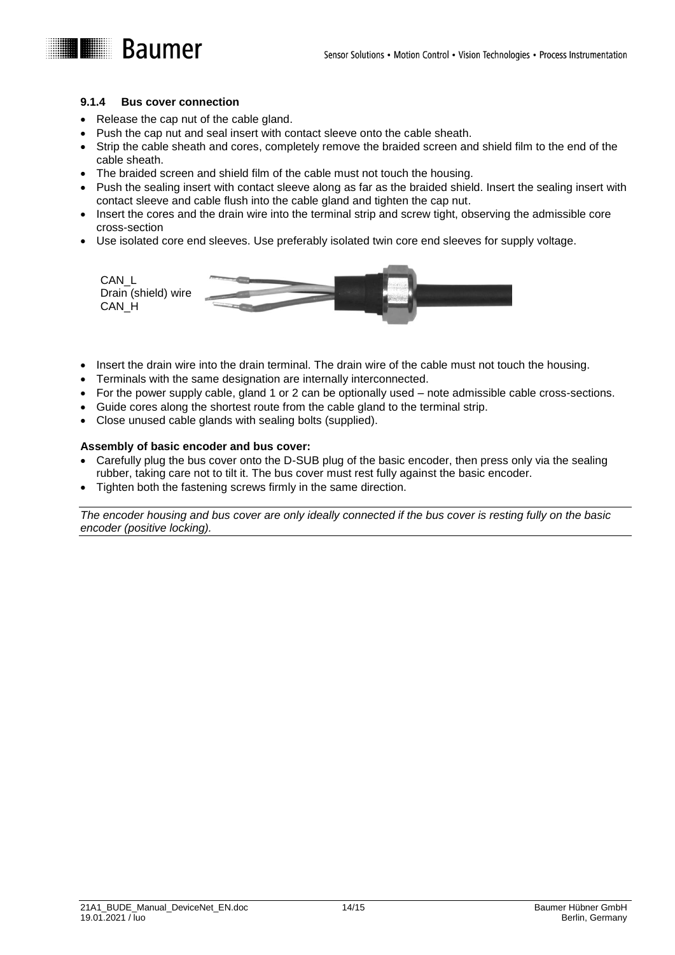### <span id="page-13-0"></span>**9.1.4 Bus cover connection**

- Release the cap nut of the cable gland.
- Push the cap nut and seal insert with contact sleeve onto the cable sheath.
- Strip the cable sheath and cores, completely remove the braided screen and shield film to the end of the cable sheath.
- The braided screen and shield film of the cable must not touch the housing.
- Push the sealing insert with contact sleeve along as far as the braided shield. Insert the sealing insert with contact sleeve and cable flush into the cable gland and tighten the cap nut.
- Insert the cores and the drain wire into the terminal strip and screw tight, observing the admissible core cross-section
- Use isolated core end sleeves. Use preferably isolated twin core end sleeves for supply voltage.



- Insert the drain wire into the drain terminal. The drain wire of the cable must not touch the housing.
- Terminals with the same designation are internally interconnected.
- For the power supply cable, gland 1 or 2 can be optionally used note admissible cable cross-sections.
- Guide cores along the shortest route from the cable gland to the terminal strip.
- Close unused cable glands with sealing bolts (supplied).

### **Assembly of basic encoder and bus cover:**

- Carefully plug the bus cover onto the D-SUB plug of the basic encoder, then press only via the sealing rubber, taking care not to tilt it. The bus cover must rest fully against the basic encoder.
- Tighten both the fastening screws firmly in the same direction.

*The encoder housing and bus cover are only ideally connected if the bus cover is resting fully on the basic encoder (positive locking).*